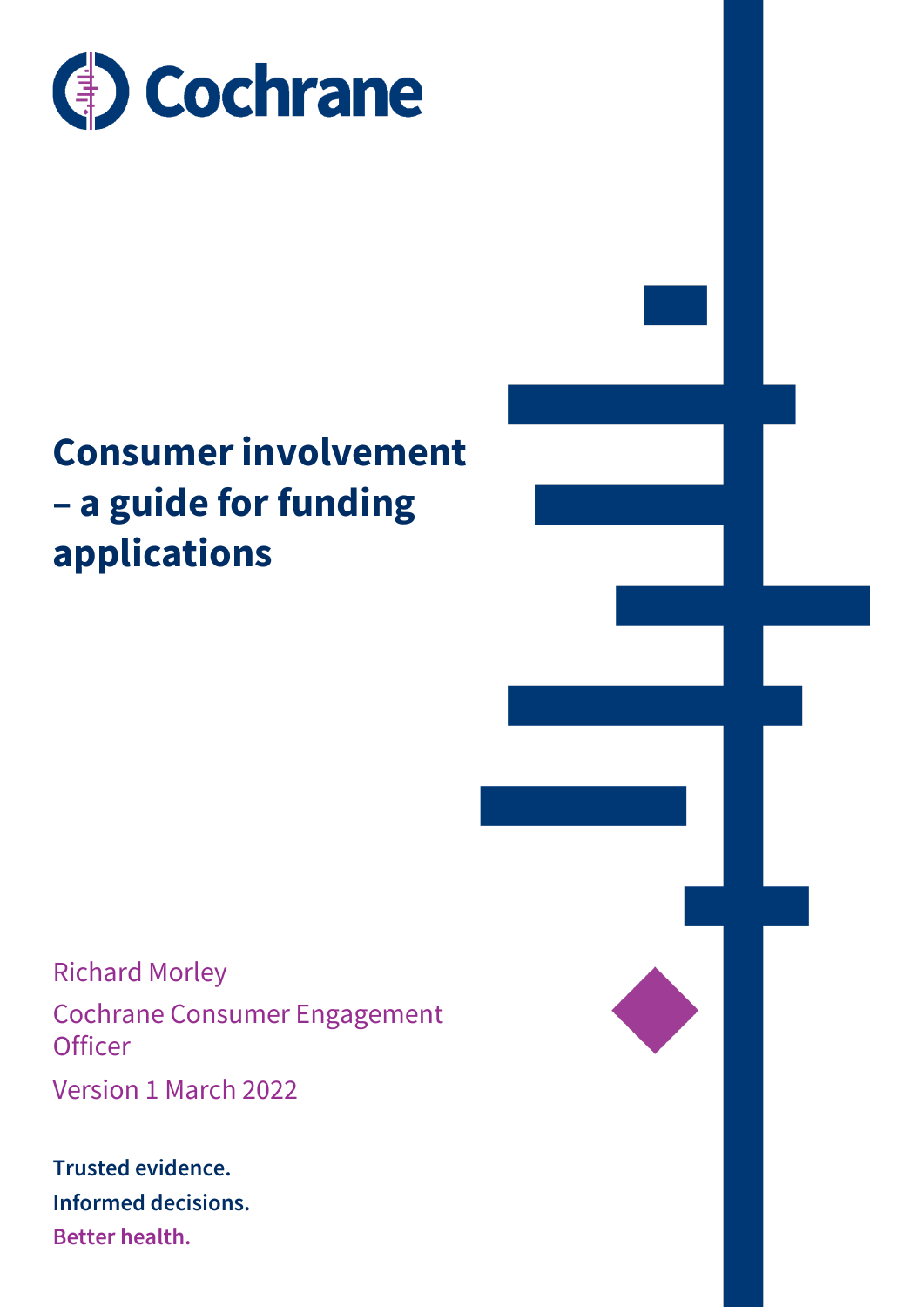

### **Consumer involvement – a guide for funding applications**

Richard Morley Cochrane Consumer Engagement **Officer** 

Version 1 March 2022

**Trusted evidence. Informed decisions. Better health.**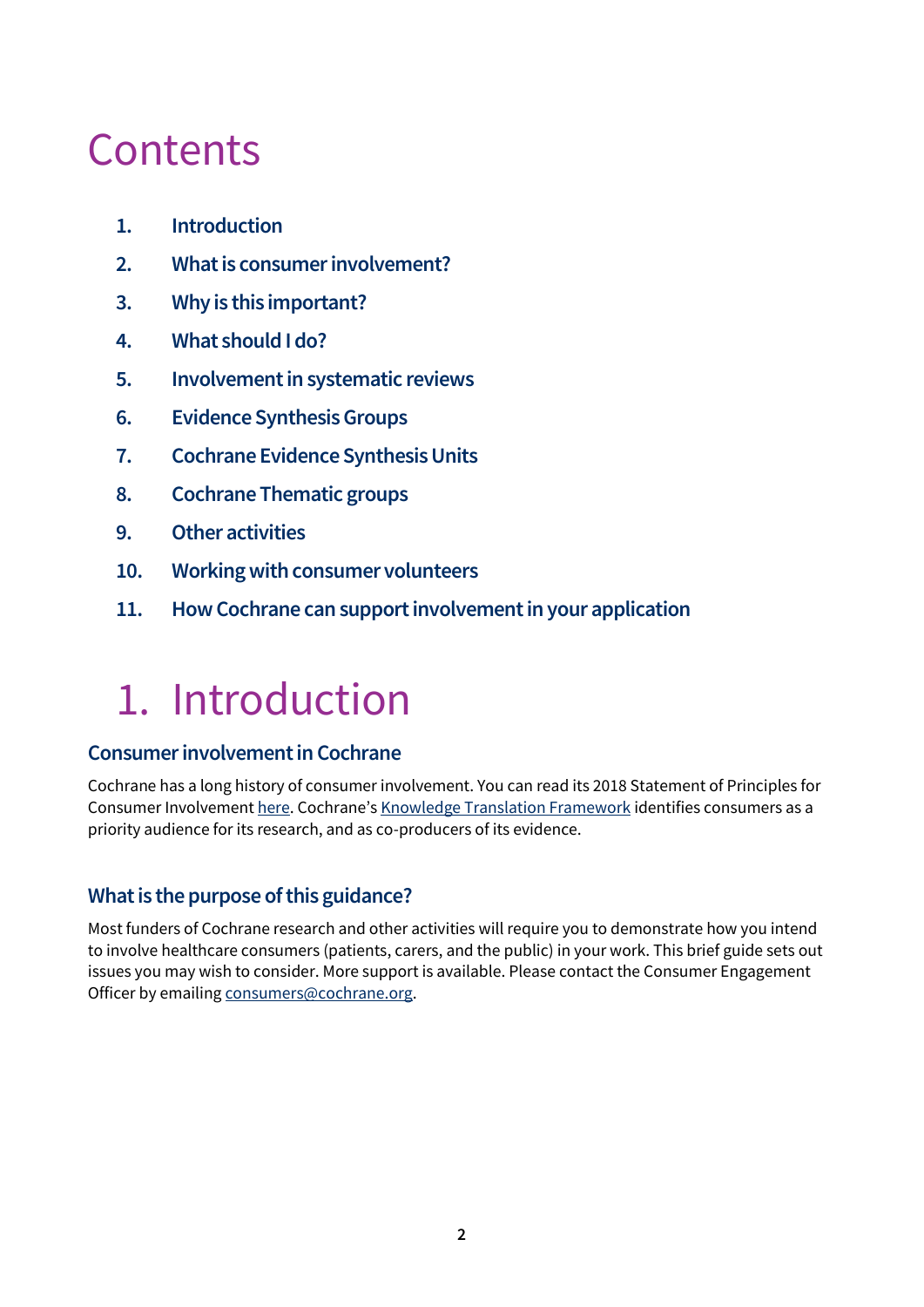### **Contents**

- **1. Introduction**
- **2. What is consumer involvement?**
- **3. Why is this important?**
- **4. What should I do?**
- **5. Involvement in systematic reviews**
- **6. Evidence Synthesis Groups**
- **7. Cochrane Evidence Synthesis Units**
- **8. Cochrane Thematic groups**
- **9. Other activities**
- **10. Working with consumer volunteers**
- **11. How Cochrane can support involvement in your application**

### 1. Introduction

#### **Consumer involvement in Cochrane**

Cochrane has a long history of consumer involvement. You can read its 2018 Statement of Principles for Consumer Involvement [here](https://consumers.cochrane.org/news/statement-principles-consumer-involvement-cochrane). Cochrane's [Knowledge Translation Framework](https://community.cochrane.org/review-production/knowledge-translation/kt-framework-and-implementation) identifies consumers as a priority audience for its research, and as co-producers of its evidence.

#### **What is the purpose of this guidance?**

Most funders of Cochrane research and other activities will require you to demonstrate how you intend to involve healthcare consumers (patients, carers, and the public) in your work. This brief guide sets out issues you may wish to consider. More support is available. Please contact the Consumer Engagement Officer by emailing [consumers@cochrane.org.](mailto:consumers@cochrane.org)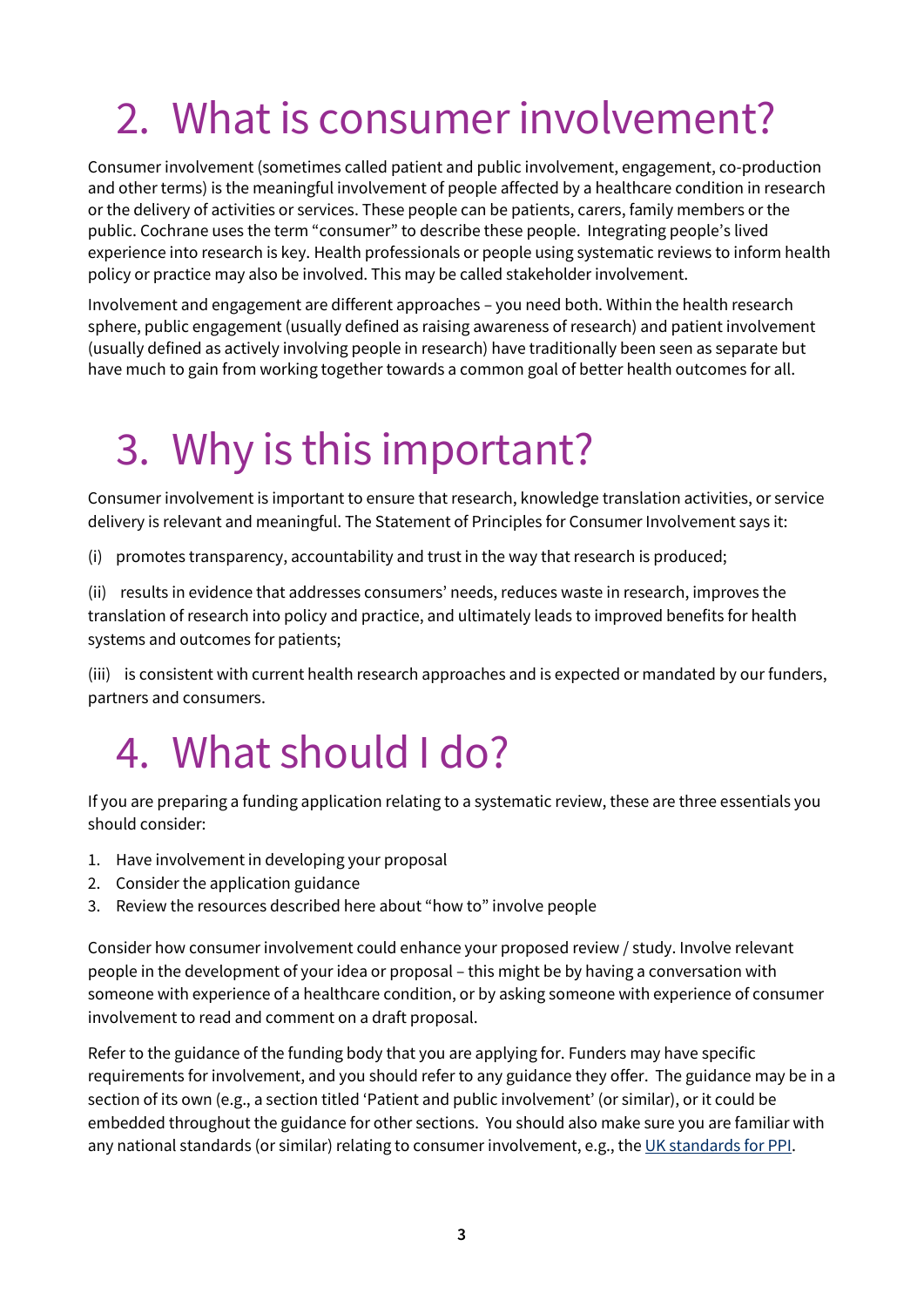## 2. What is consumer involvement?

Consumer involvement (sometimes called patient and public involvement, engagement, co-production and other terms) is the meaningful involvement of people affected by a healthcare condition in research or the delivery of activities or services. These people can be patients, carers, family members or the public. Cochrane uses the term "consumer" to describe these people. Integrating people's lived experience into research is key. Health professionals or people using systematic reviews to inform health policy or practice may also be involved. This may be called stakeholder involvement.

Involvement and engagement are different approaches – you need both. Within the health research sphere, public engagement (usually defined as raising awareness of research) and patient involvement (usually defined as actively involving people in research) have traditionally been seen as separate but have much to gain from working together towards a common goal of better health outcomes for all.

## 3. Why is this important?

Consumer involvement is important to ensure that research, knowledge translation activities, or service delivery is relevant and meaningful. The Statement of Principles for Consumer Involvement says it:

(i) promotes transparency, accountability and trust in the way that research is produced;

(ii) results in evidence that addresses consumers' needs, reduces waste in research, improves the translation of research into policy and practice, and ultimately leads to improved benefits for health systems and outcomes for patients;

(iii) is consistent with current health research approaches and is expected or mandated by our funders, partners and consumers.

### 4. What should I do?

If you are preparing a funding application relating to a systematic review, these are three essentials you should consider:

- 1. Have involvement in developing your proposal
- 2. Consider the application guidance
- 3. Review the resources described here about "how to" involve people

Consider how consumer involvement could enhance your proposed review / study. Involve relevant people in the development of your idea or proposal – this might be by having a conversation with someone with experience of a healthcare condition, or by asking someone with experience of consumer involvement to read and comment on a draft proposal.

Refer to the guidance of the funding body that you are applying for. Funders may have specific requirements for involvement, and you should refer to any guidance they offer. The guidance may be in a section of its own (e.g., a section titled 'Patient and public involvement' (or similar), or it could be embedded throughout the guidance for other sections. You should also make sure you are familiar with any national standards (or similar) relating to consumer involvement, e.g., th[e UK standards for PPI.](https://sites.google.com/nihr.ac.uk/pi-standards/standards)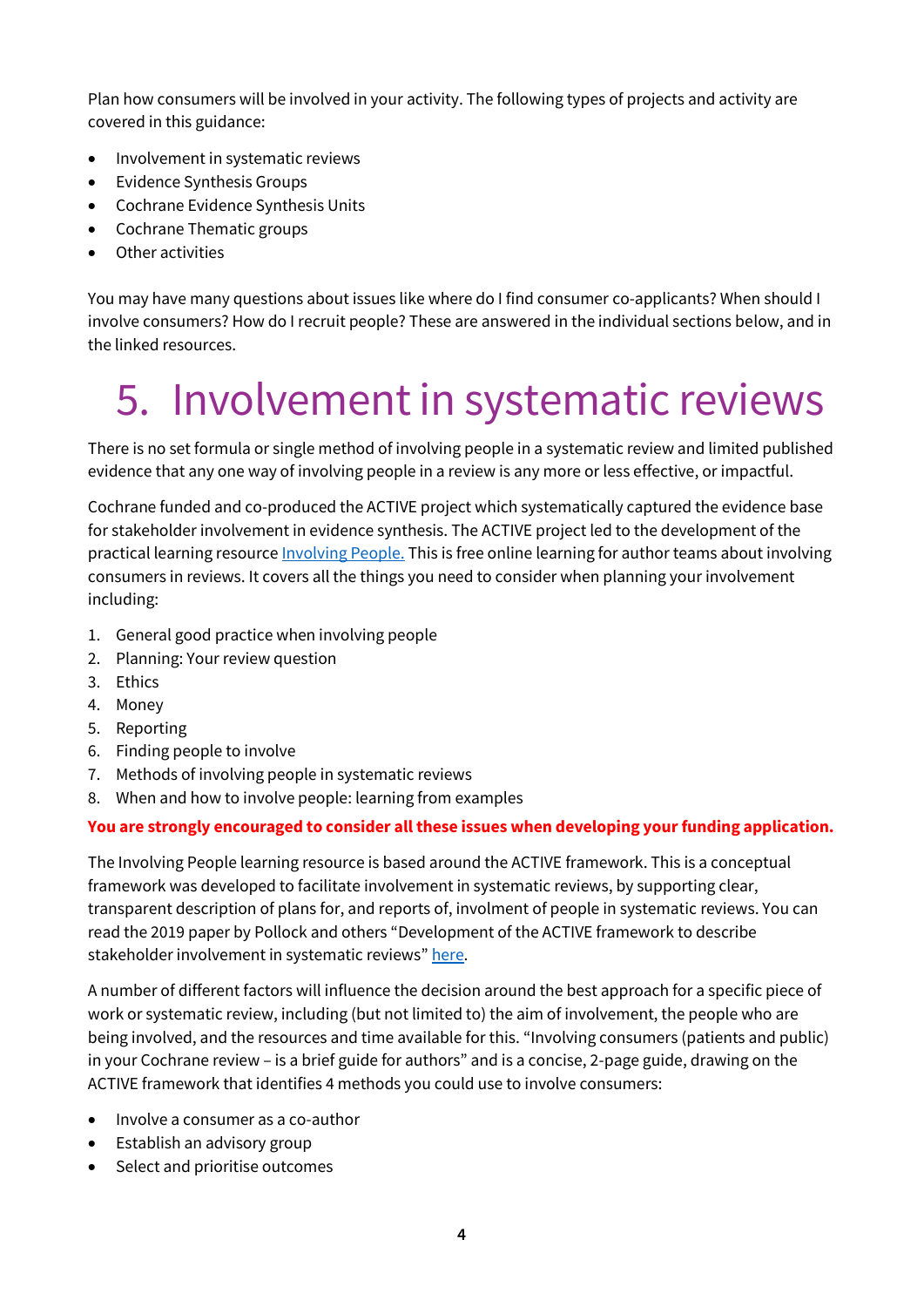Plan how consumers will be involved in your activity. The following types of projects and activity are covered in this guidance:

- Involvement in systematic reviews
- Evidence Synthesis Groups
- Cochrane Evidence Synthesis Units
- Cochrane Thematic groups
- Other activities

You may have many questions about issues like where do I find consumer co-applicants? When should I involve consumers? How do I recruit people? These are answered in the individual sections below, and in the linked resources.

# 5. Involvement in systematic reviews

There is no set formula or single method of involving people in a systematic review and limited published evidence that any one way of involving people in a review is any more or less effective, or impactful.

Cochrane funded and co-produced the ACTIVE project which systematically captured the evidence base for stakeholder involvement in evidence synthesis. The ACTIVE project led to the development of the practical learning resourc[e Involving People.](https://training.cochrane.org/involving-people) This is free online learning for author teams about involving consumers in reviews. It covers all the things you need to consider when planning your involvement including:

- 1. General good practice when involving people
- 2. Planning: Your review question
- 3. Ethics
- 4. Money
- 5. Reporting
- 6. Finding people to involve
- 7. Methods of involving people in systematic reviews
- 8. When and how to involve people: learning from examples

#### **You are strongly encouraged to consider all these issues when developing your funding application.**

The Involving People learning resource is based around the ACTIVE framework. This is a conceptual framework was developed to facilitate involvement in systematic reviews, by supporting clear, transparent description of plans for, and reports of, involment of people in systematic reviews. You can read the 2019 paper by Pollock and others "Development of the ACTIVE framework to describe stakeholder involvement in systematic reviews" [here.](https://journals.sagepub.com/doi/10.1177/1355819619841647)

A number of different factors will influence the decision around the best approach for a specific piece of work or systematic review, including (but not limited to) the aim of involvement, the people who are being involved, and the resources and time available for this. "Involving consumers (patients and public) in your Cochrane review – is a brief guide for authors" and is a concise, 2-page guide, drawing on the ACTIVE framework that identifies 4 methods you could use to involve consumers:

- Involve a consumer as a co-author
- Establish an advisory group
- Select and prioritise outcomes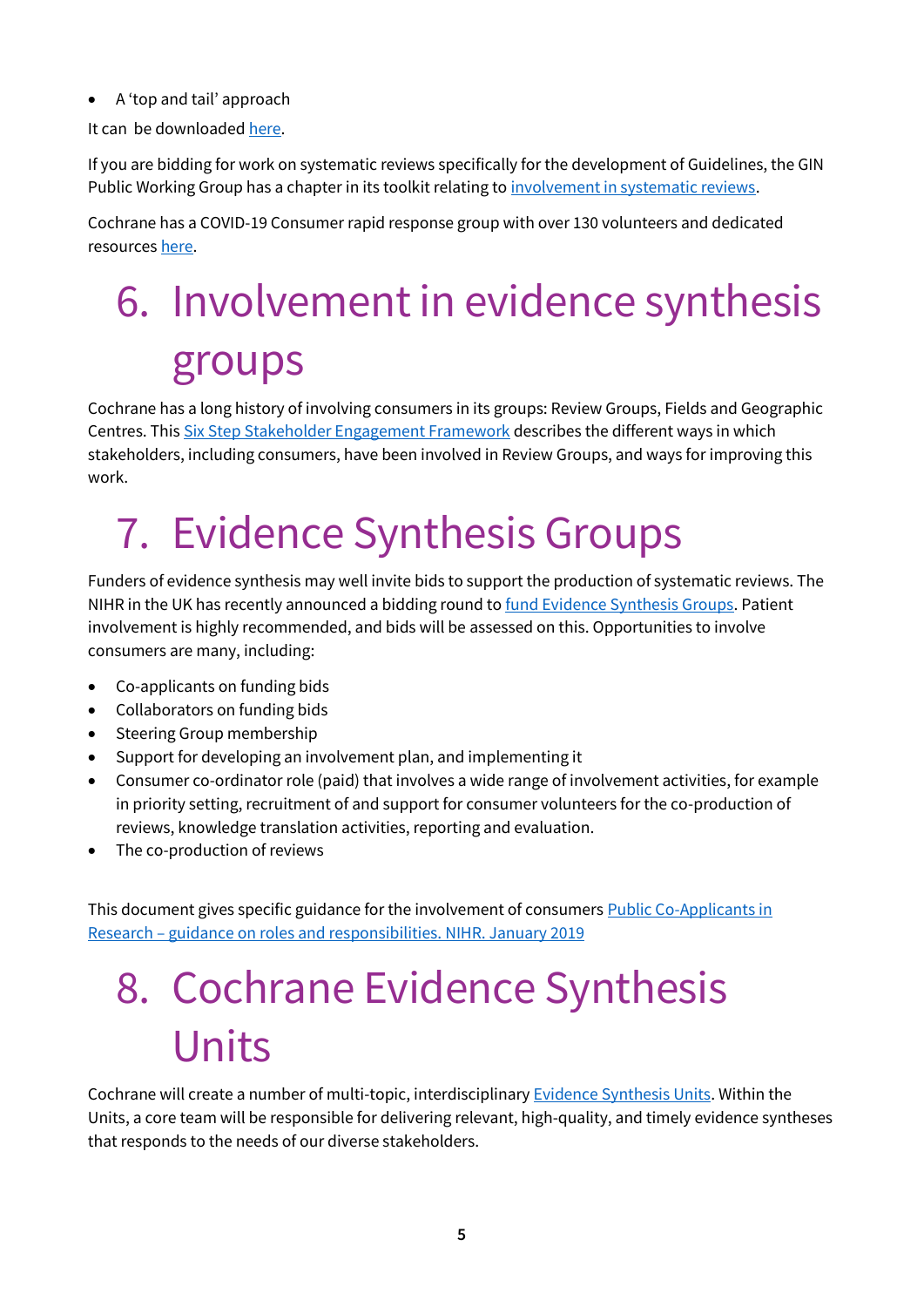• A 'top and tail' approach

It can be downloaded [here.](https://consumers.cochrane.org/sites/consumers.cochrane.org/files/uploads/involving-consumers-in-your-cochrane-review.pdf)

If you are bidding for work on systematic reviews specifically for the development of Guidelines, the GIN Public Working Group has a chapter in its toolkit relating to [involvement in systematic reviews.](https://g-i-n.net/wp-content/uploads/2021/04/PPI-in-systematic-reviews-final-for-pdf-publication-1.pdf)

Cochrane has a COVID-19 Consumer rapid response group with over 130 volunteers and dedicated resource[s here.](https://consumers.cochrane.org/covid-19-consumer-rapid-response-group-resources)

# 6. Involvement in evidence synthesis groups

Cochrane has a long history of involving consumers in its groups: Review Groups, Fields and Geographic Centres. Thi[s Six Step Stakeholder Engagement Framework](https://community.cochrane.org/news/six-step-stakeholder-engagement-framework) describes the different ways in which stakeholders, including consumers, have been involved in Review Groups, and ways for improving this work.

## 7. Evidence Synthesis Groups

Funders of evidence synthesis may well invite bids to support the production of systematic reviews. The NIHR in the UK has recently announced a bidding round t[o fund Evidence Synthesis Groups.](https://www.nihr.ac.uk/funding/225-nihr-evidence-synthesis-groups/29786) Patient involvement is highly recommended, and bids will be assessed on this. Opportunities to involve consumers are many, including:

- Co-applicants on funding bids
- Collaborators on funding bids
- Steering Group membership
- Support for developing an involvement plan, and implementing it
- Consumer co-ordinator role (paid) that involves a wide range of involvement activities, for example in priority setting, recruitment of and support for consumer volunteers for the co-production of reviews, knowledge translation activities, reporting and evaluation.
- The co-production of reviews

This document gives specific guidance for the involvement of consumer[s Public Co-Applicants in](https://www.invo.org.uk/posttypepublication/public-co-applicants-in-research-guidance-on-roles-and-responsibilities/)  Research – [guidance on roles and responsibilities. NIHR. January 2019](https://www.invo.org.uk/posttypepublication/public-co-applicants-in-research-guidance-on-roles-and-responsibilities/)

### 8. Cochrane Evidence Synthesis Units

Cochrane will create a number of multi-topic, interdisciplinary [Evidence Synthesis Units.](https://community.cochrane.org/sites/default/files/uploads/inline-files/Future%20of%20evidence%20synthesis%20in%20Cochrane_Open%20access%20paper_Final_0.pdf) Within the Units, a core team will be responsible for delivering relevant, high-quality, and timely evidence syntheses that responds to the needs of our diverse stakeholders.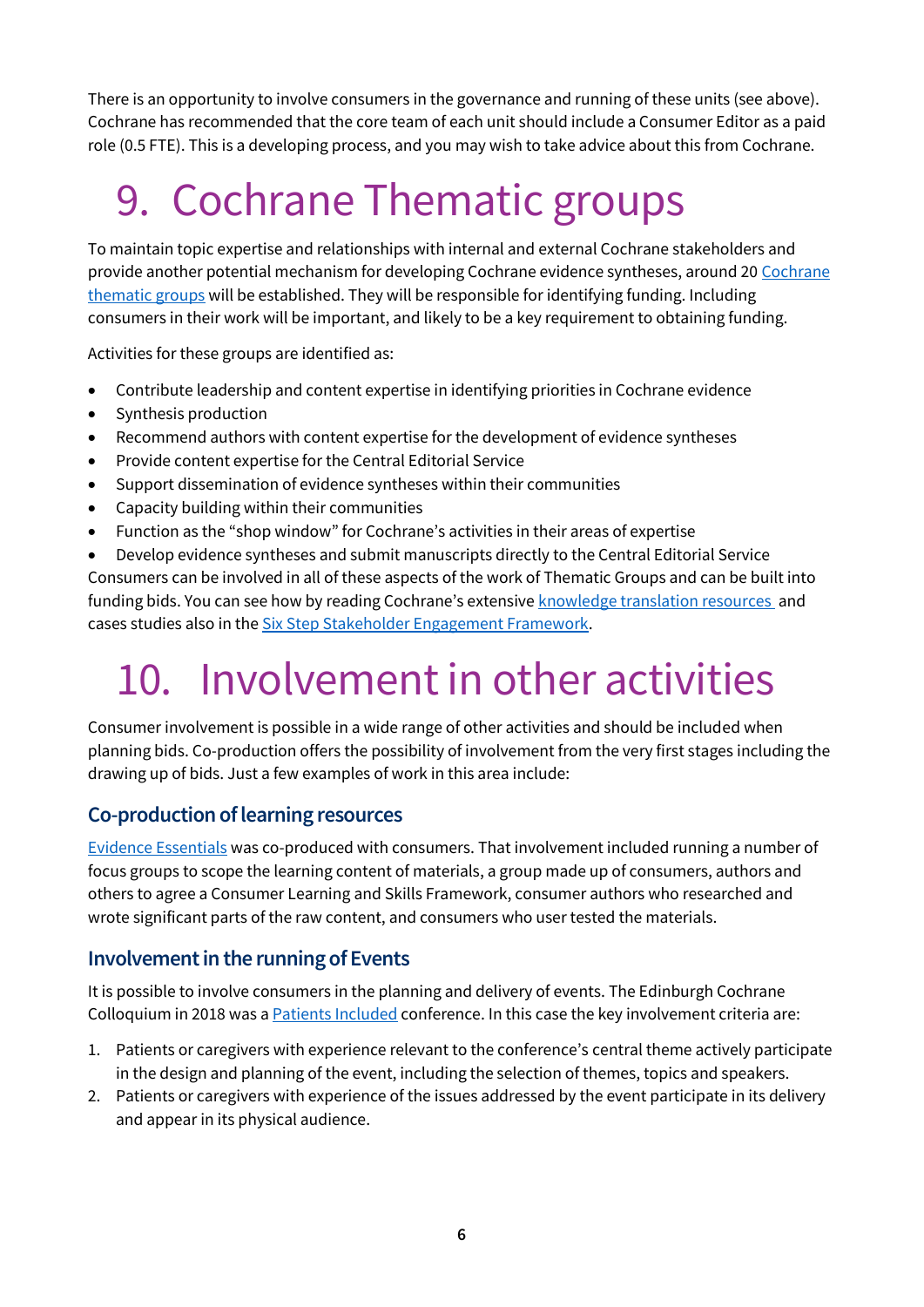There is an opportunity to involve consumers in the governance and running of these units (see above). Cochrane has recommended that the core team of each unit should include a Consumer Editor as a paid role (0.5 FTE). This is a developing process, and you may wish to take advice about this from Cochrane.

## 9. Cochrane Thematic groups

To maintain topic expertise and relationships with internal and external Cochrane stakeholders and provide another potential mechanism for developing Cochrane evidence syntheses, around 20 Cochrane [thematic groups](https://community.cochrane.org/sites/default/files/uploads/inline-files/Future%20of%20evidence%20synthesis%20in%20Cochrane_Open%20access%20paper_Final_0.pdf) will be established. They will be responsible for identifying funding. Including consumers in their work will be important, and likely to be a key requirement to obtaining funding.

Activities for these groups are identified as:

- Contribute leadership and content expertise in identifying priorities in Cochrane evidence
- Synthesis production
- Recommend authors with content expertise for the development of evidence syntheses
- Provide content expertise for the Central Editorial Service
- Support dissemination of evidence syntheses within their communities
- Capacity building within their communities
- Function as the "shop window" for Cochrane's activities in their areas of expertise
- Develop evidence syntheses and submit manuscripts directly to the Central Editorial Service

Consumers can be involved in all of these aspects of the work of Thematic Groups and can be built into funding bids. You can see how by reading Cochrane's extensive [knowledge translation resources a](https://community.cochrane.org/review-production/knowledge-translation/kt-framework-and-implementation)nd cases studies also in the [Six Step Stakeholder Engagement Framework.](https://community.cochrane.org/news/six-step-stakeholder-engagement-framework)

## 10. Involvement in other activities

Consumer involvement is possible in a wide range of other activities and should be included when planning bids. Co-production offers the possibility of involvement from the very first stages including the drawing up of bids. Just a few examples of work in this area include:

#### **Co-production of learning resources**

[Evidence Essentials](https://training.cochrane.org/essentials) was co-produced with consumers. That involvement included running a number of focus groups to scope the learning content of materials, a group made up of consumers, authors and others to agree a Consumer Learning and Skills Framework, consumer authors who researched and wrote significant parts of the raw content, and consumers who user tested the materials.

#### **Involvement in the running of Events**

It is possible to involve consumers in the planning and delivery of events. The Edinburgh Cochrane Colloquium in 2018 was [a Patients Included](https://patientsincluded.org/conferences/) conference. In this case the key involvement criteria are:

- 1. Patients or caregivers with experience relevant to the conference's central theme actively participate in the design and planning of the event, including the selection of themes, topics and speakers.
- 2. Patients or caregivers with experience of the issues addressed by the event participate in its delivery and appear in its physical audience.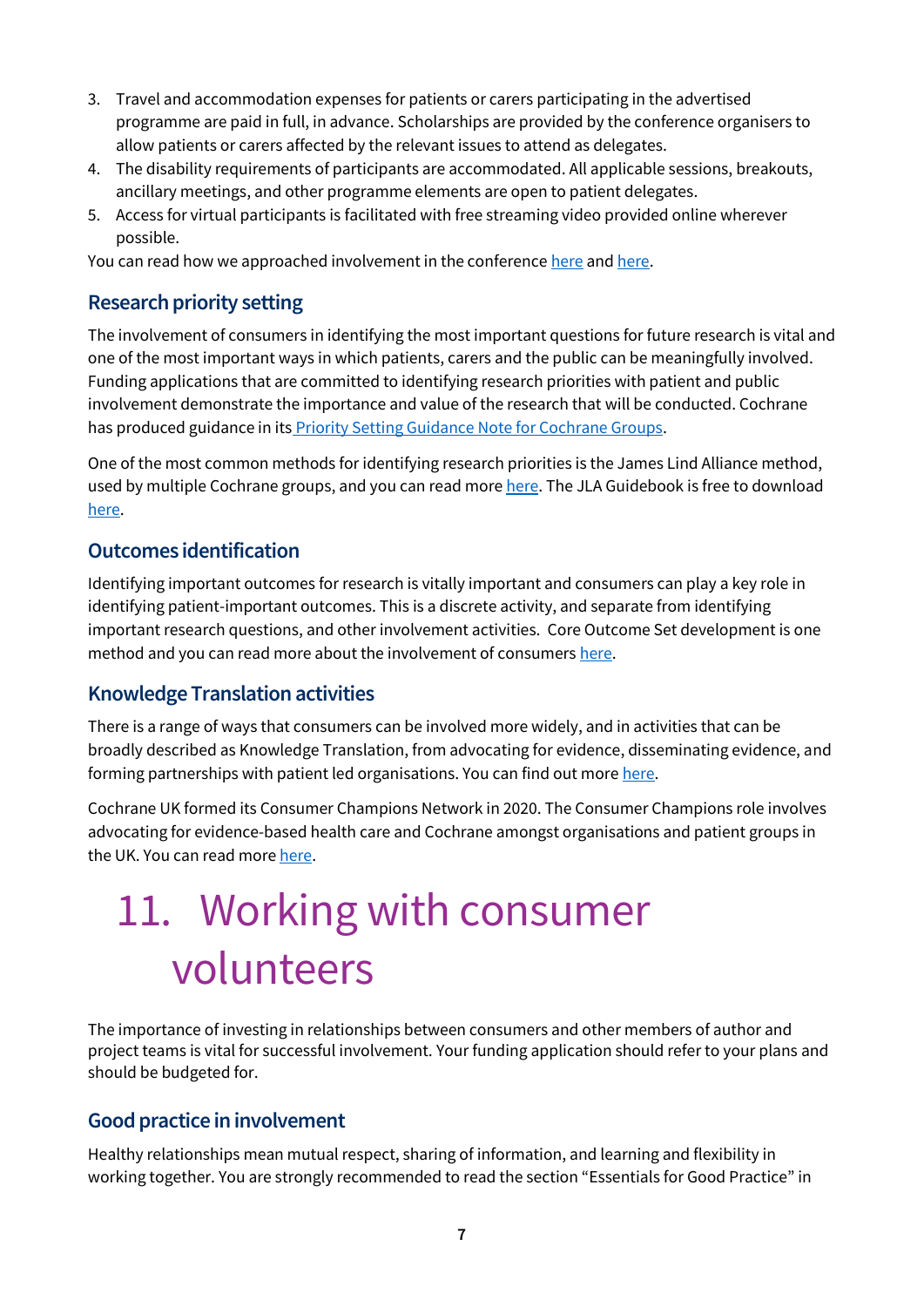- 3. Travel and accommodation expenses for patients or carers participating in the advertised programme are paid in full, in advance. Scholarships are provided by the conference organisers to allow patients or carers affected by the relevant issues to attend as delegates.
- 4. The disability requirements of participants are accommodated. All applicable sessions, breakouts, ancillary meetings, and other programme elements are open to patient delegates.
- 5. Access for virtual participants is facilitated with free streaming video provided online wherever possible.

You can read how we approached involvement in the conference [here](https://www.evidentlycochrane.net/cochrane-for-all-making-our-conference-a-patients-included-event/) and [here.](https://www.cochrane.org/news/patients-and-consumers-cochranes-edinburgh-colloquium)

#### **Research priority setting**

The involvement of consumers in identifying the most important questions for future research is vital and one of the most important ways in which patients, carers and the public can be meaningfully involved. Funding applications that are committed to identifying research priorities with patient and public involvement demonstrate the importance and value of the research that will be conducted. Cochrane has produced guidance in its **Priority Setting Guidance Note for Cochrane Groups**.

One of the most common methods for identifying research priorities is the James Lind Alliance method, used by multiple Cochrane groups, and you can read mor[e here.](https://www.jla.nihr.ac.uk/) The JLA Guidebook is free to download [here.](https://www.jla.nihr.ac.uk/jla-guidebook/downloads/JLA-Guidebook-Version-10-March-2021.pdf)

#### **Outcomes identification**

Identifying important outcomes for research is vitally important and consumers can play a key role in identifying patient-important outcomes. This is a discrete activity, and separate from identifying important research questions, and other involvement activities. Core Outcome Set development is one method and you can read more about the involvement of consumer[s here.](https://www.comet-initiative.org/)

#### **Knowledge Translation activities**

There is a range of ways that consumers can be involved more widely, and in activities that can be broadly described as Knowledge Translation, from advocating for evidence, disseminating evidence, and forming partnerships with patient led organisations. You can find out more [here.](https://training.cochrane.org/online-learning/knowledge-translation/introducing-knowledge-translation-cochrane)

Cochrane UK formed its Consumer Champions Network in 2020. The Consumer Champions role involves advocating for evidence-based health care and Cochrane amongst organisations and patient groups in the UK. You can read mor[e here.](https://uk.cochrane.org/about-us/cochrane-uk-consumer-champions)

# 11. Working with consumer volunteers

The importance of investing in relationships between consumers and other members of author and project teams is vital for successful involvement. Your funding application should refer to your plans and should be budgeted for.

#### **Good practice in involvement**

Healthy relationships mean mutual respect, sharing of information, and learning and flexibility in working together. You are strongly recommended to read the section "Essentials for Good Practice" in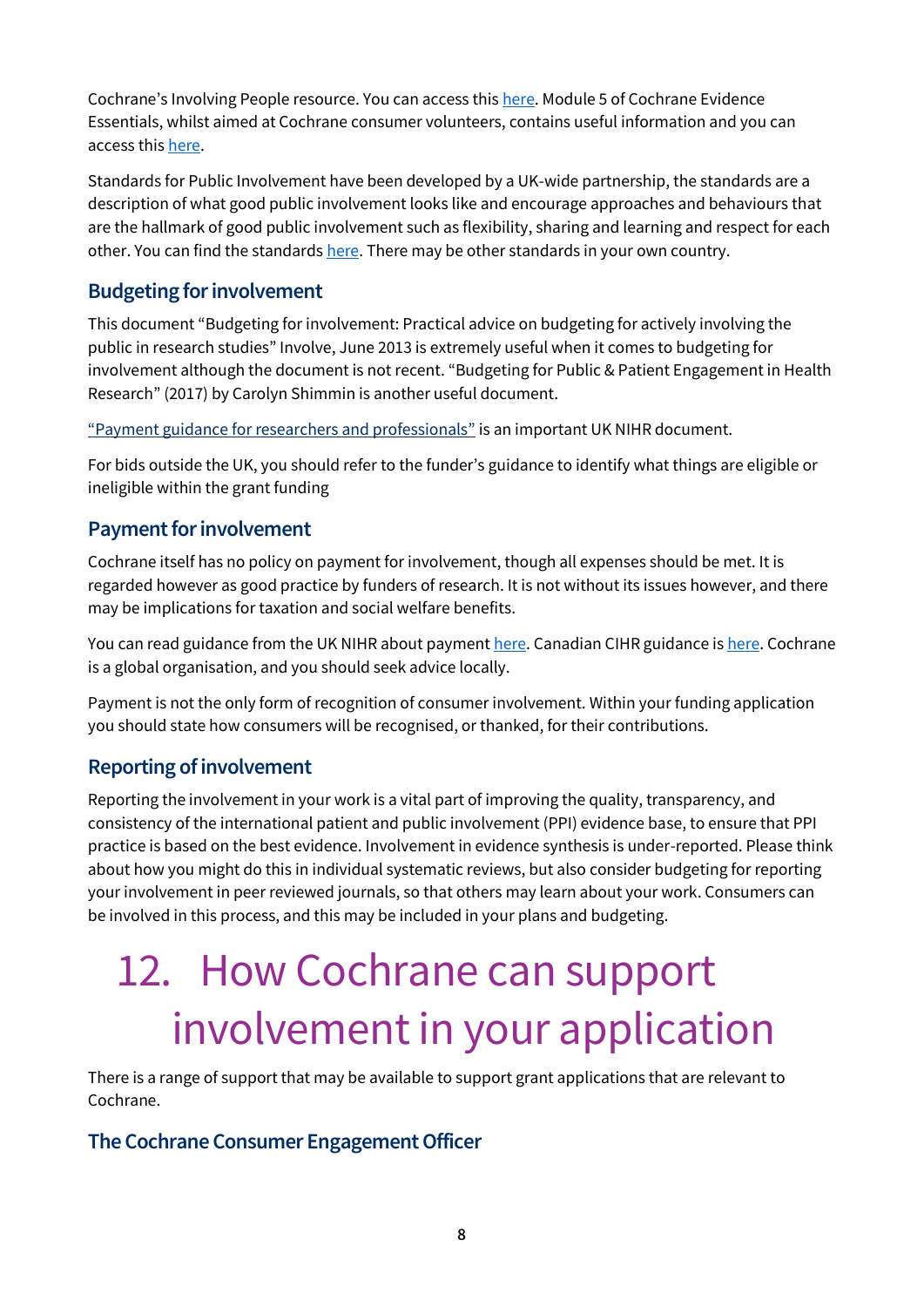Cochrane's Involving People resource. You can access this [here.](https://training.cochrane.org/involving-people) Module 5 of Cochrane Evidence Essentials, whilst aimed at Cochrane consumer volunteers, contains useful information and you can access thi[s here.](https://training.cochrane.org/essentials)

Standards for Public Involvement have been developed by a UK-wide partnership, the standards are a description of what good public involvement looks like and encourage approaches and behaviours that are the hallmark of good public involvement such as flexibility, sharing and learning and respect for each other. You can find the standard[s here.](https://sites.google.com/nihr.ac.uk/pi-standards/home) There may be other standards in your own country.

#### **Budgeting for involvement**

This document "Budgeting for involvement: Practical advice on budgeting for actively involving the public in research studies" Involve, June 2013 is extremely useful when it comes to budgeting for involvement although the document is not recent. "Budgeting for Public & Patient Engagement in Health Research" (2017) by Carolyn Shimmin is another useful document.

["Payment guidance for researchers and professionals"](https://www.nihr.ac.uk/documents/payment-guidance-for-researchers-and-professionals/27392) is an important UK NIHR document.

For bids outside the UK, you should refer to the funder's guidance to identify what things are eligible or ineligible within the grant funding

#### **Payment for involvement**

Cochrane itself has no policy on payment for involvement, though all expenses should be met. It is regarded however as good practice by funders of research. It is not without its issues however, and there may be implications for taxation and social welfare benefits.

You can read guidance from the UK NIHR about paymen[t here.](file:///C:/Users/maureen/Library/Containers/com.apple.mail/Data/Library/Mail%20Downloads/F99F0EFD-26A7-4250-9E68-4EF10CD34B75/Payment%20guidance%20for%20researchers%20and%20professionals) Canadian CIHR guidance is [here.](https://cihr-irsc.gc.ca/e/51466.html) Cochrane is a global organisation, and you should seek advice locally.

Payment is not the only form of recognition of consumer involvement. Within your funding application you should state how consumers will be recognised, or thanked, for their contributions.

#### **Reporting of involvement**

Reporting the involvement in your work is a vital part of improving the quality, transparency, and consistency of the international patient and public involvement (PPI) evidence base, to ensure that PPI practice is based on the best evidence. Involvement in evidence synthesis is under-reported. Please think about how you might do this in individual systematic reviews, but also consider budgeting for reporting your involvement in peer reviewed journals, so that others may learn about your work. Consumers can be involved in this process, and this may be included in your plans and budgeting.

# 12. How Cochrane can support involvement in your application

There is a range of support that may be available to support grant applications that are relevant to Cochrane.

#### **The Cochrane Consumer Engagement Officer**